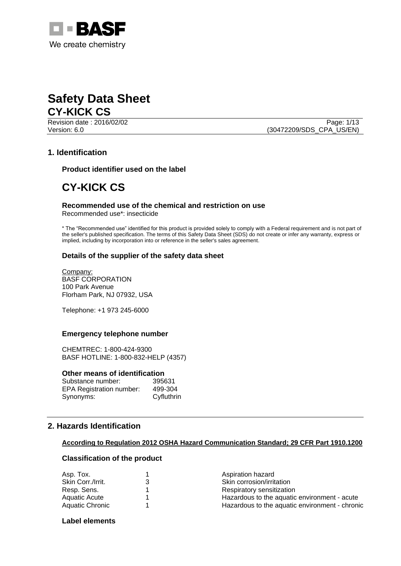



Revision date : 2016/02/02

Version: 6.0 (30472209/SDS\_CPA\_US/EN)

# **1. Identification**

**Product identifier used on the label**

# **CY-KICK CS**

# **Recommended use of the chemical and restriction on use**

Recommended use\*: insecticide

\* The "Recommended use" identified for this product is provided solely to comply with a Federal requirement and is not part of the seller's published specification. The terms of this Safety Data Sheet (SDS) do not create or infer any warranty, express or implied, including by incorporation into or reference in the seller's sales agreement.

# **Details of the supplier of the safety data sheet**

Company: BASF CORPORATION 100 Park Avenue Florham Park, NJ 07932, USA

Telephone: +1 973 245-6000

# **Emergency telephone number**

CHEMTREC: 1-800-424-9300 BASF HOTLINE: 1-800-832-HELP (4357)

#### **Other means of identification**

| Substance number:               | 395631     |
|---------------------------------|------------|
| <b>EPA Registration number:</b> | 499-304    |
| Synonyms:                       | Cyfluthrin |

# **2. Hazards Identification**

# **According to Regulation 2012 OSHA Hazard Communication Standard; 29 CFR Part 1910.1200**

# **Classification of the product**

| Asp. Tox.         | Aspiration hazard                              |
|-------------------|------------------------------------------------|
| Skin Corr./Irrit. | Skin corrosion/irritation                      |
| Resp. Sens.       | Respiratory sensitization                      |
| Aquatic Acute     | Hazardous to the aquatic environment - acute   |
| Aquatic Chronic   | Hazardous to the aquatic environment - chronic |
|                   |                                                |

# **Label elements**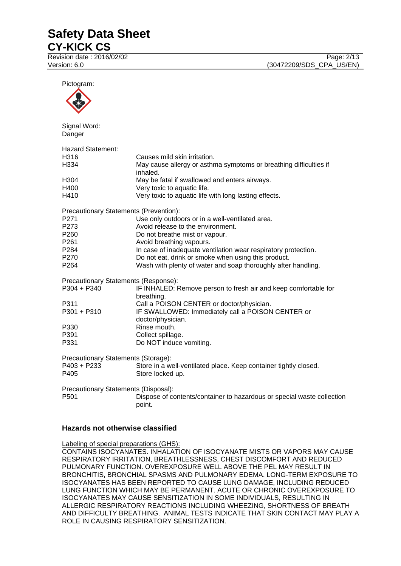Revision date : 2016/02/02 Page: 2/13

Version: 6.0 **(30472209/SDS\_CPA\_US/EN)** 

Pictogram: Signal Word: **Danger** Hazard Statement: H316 Causes mild skin irritation. H334 May cause allergy or asthma symptoms or breathing difficulties if inhaled. H304 May be fatal if swallowed and enters airways. H400 Very toxic to aquatic life. H410 Very toxic to aquatic life with long lasting effects. Precautionary Statements (Prevention): P271 Use only outdoors or in a well-ventilated area. P273 Avoid release to the environment. P260 Do not breathe mist or vapour. P261 **Avoid breathing vapours.** P284 **In case of inadequate ventilation wear respiratory protection.** P270 Do not eat, drink or smoke when using this product. P264 Wash with plenty of water and soap thoroughly after handling. Precautionary Statements (Response): P304 + P340 IF INHALED: Remove person to fresh air and keep comfortable for breathing. P311 Call a POISON CENTER or doctor/physician. P301 + P310 IF SWALLOWED: Immediately call a POISON CENTER or doctor/physician. P330 Rinse mouth.<br>P391 Collect spillac P391 Collect spillage.<br>
P331 Do NOT induce Do NOT induce vomiting. Precautionary Statements (Storage): P403 + P233 Store in a well-ventilated place. Keep container tightly closed. P405 Store locked up. Precautionary Statements (Disposal):

P501 Dispose of contents/container to hazardous or special waste collection point.

# **Hazards not otherwise classified**

Labeling of special preparations (GHS):

CONTAINS ISOCYANATES. INHALATION OF ISOCYANATE MISTS OR VAPORS MAY CAUSE RESPIRATORY IRRITATION, BREATHLESSNESS, CHEST DISCOMFORT AND REDUCED PULMONARY FUNCTION. OVEREXPOSURE WELL ABOVE THE PEL MAY RESULT IN BRONCHITIS, BRONCHIAL SPASMS AND PULMONARY EDEMA. LONG-TERM EXPOSURE TO ISOCYANATES HAS BEEN REPORTED TO CAUSE LUNG DAMAGE, INCLUDING REDUCED LUNG FUNCTION WHICH MAY BE PERMANENT. ACUTE OR CHRONIC OVEREXPOSURE TO ISOCYANATES MAY CAUSE SENSITIZATION IN SOME INDIVIDUALS, RESULTING IN ALLERGIC RESPIRATORY REACTIONS INCLUDING WHEEZING, SHORTNESS OF BREATH AND DIFFICULTY BREATHING. ANIMAL TESTS INDICATE THAT SKIN CONTACT MAY PLAY A ROLE IN CAUSING RESPIRATORY SENSITIZATION.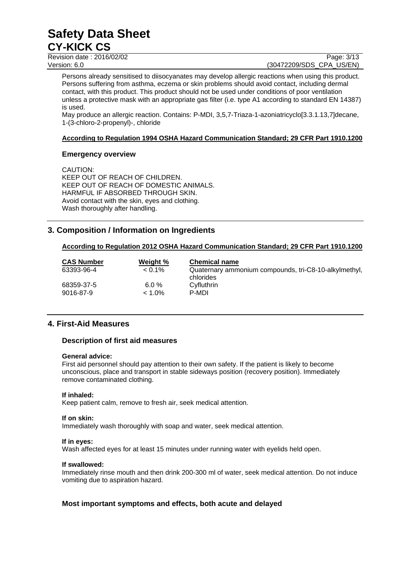Revision date : 2016/02/02 Version: 6.0 **(30472209/SDS\_CPA\_US/EN)** 

Persons already sensitised to diisocyanates may develop allergic reactions when using this product. Persons suffering from asthma, eczema or skin problems should avoid contact, including dermal contact, with this product. This product should not be used under conditions of poor ventilation unless a protective mask with an appropriate gas filter (i.e. type A1 according to standard EN 14387) is used.

May produce an allergic reaction. Contains: P-MDI, 3,5,7-Triaza-1-azoniatricyclo[3.3.1.13,7]decane, 1-(3-chloro-2-propenyl)-, chloride

# **According to Regulation 1994 OSHA Hazard Communication Standard; 29 CFR Part 1910.1200**

# **Emergency overview**

CAUTION: KEEP OUT OF REACH OF CHILDREN. KEEP OUT OF REACH OF DOMESTIC ANIMALS. HARMFUL IF ABSORBED THROUGH SKIN. Avoid contact with the skin, eyes and clothing. Wash thoroughly after handling.

# **3. Composition / Information on Ingredients**

# **According to Regulation 2012 OSHA Hazard Communication Standard; 29 CFR Part 1910.1200**

| <b>CAS Number</b>       | Weight %              | <b>Chemical name</b>                                               |
|-------------------------|-----------------------|--------------------------------------------------------------------|
| 63393-96-4              | $< 0.1\%$             | Quaternary ammonium compounds, tri-C8-10-alkylmethyl,<br>chlorides |
| 68359-37-5<br>9016-87-9 | $6.0 \%$<br>$< 1.0\%$ | Cyfluthrin<br>P-MDI                                                |

# **4. First-Aid Measures**

# **Description of first aid measures**

# **General advice:**

First aid personnel should pay attention to their own safety. If the patient is likely to become unconscious, place and transport in stable sideways position (recovery position). Immediately remove contaminated clothing.

# **If inhaled:**

Keep patient calm, remove to fresh air, seek medical attention.

# **If on skin:**

Immediately wash thoroughly with soap and water, seek medical attention.

# **If in eyes:**

Wash affected eyes for at least 15 minutes under running water with eyelids held open.

# **If swallowed:**

Immediately rinse mouth and then drink 200-300 ml of water, seek medical attention. Do not induce vomiting due to aspiration hazard.

# **Most important symptoms and effects, both acute and delayed**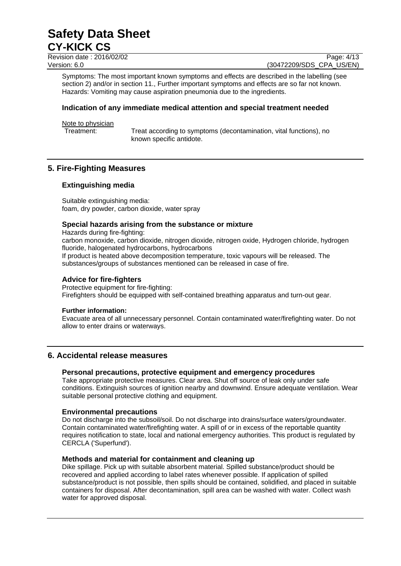Revision date : 2016/02/02 Page: 4/13 Version: 6.0 **(30472209/SDS\_CPA\_US/EN)** 

Symptoms: The most important known symptoms and effects are described in the labelling (see section 2) and/or in section 11., Further important symptoms and effects are so far not known. Hazards: Vomiting may cause aspiration pneumonia due to the ingredients.

# **Indication of any immediate medical attention and special treatment needed**

Note to physician

Treatment: Treat according to symptoms (decontamination, vital functions), no known specific antidote.

# **5. Fire-Fighting Measures**

# **Extinguishing media**

Suitable extinguishing media: foam, dry powder, carbon dioxide, water spray

# **Special hazards arising from the substance or mixture**

Hazards during fire-fighting: carbon monoxide, carbon dioxide, nitrogen dioxide, nitrogen oxide, Hydrogen chloride, hydrogen fluoride, halogenated hydrocarbons, hydrocarbons If product is heated above decomposition temperature, toxic vapours will be released. The substances/groups of substances mentioned can be released in case of fire.

# **Advice for fire-fighters**

Protective equipment for fire-fighting: Firefighters should be equipped with self-contained breathing apparatus and turn-out gear.

# **Further information:**

Evacuate area of all unnecessary personnel. Contain contaminated water/firefighting water. Do not allow to enter drains or waterways.

# **6. Accidental release measures**

# **Personal precautions, protective equipment and emergency procedures**

Take appropriate protective measures. Clear area. Shut off source of leak only under safe conditions. Extinguish sources of ignition nearby and downwind. Ensure adequate ventilation. Wear suitable personal protective clothing and equipment.

# **Environmental precautions**

Do not discharge into the subsoil/soil. Do not discharge into drains/surface waters/groundwater. Contain contaminated water/firefighting water. A spill of or in excess of the reportable quantity requires notification to state, local and national emergency authorities. This product is regulated by CERCLA ('Superfund').

# **Methods and material for containment and cleaning up**

Dike spillage. Pick up with suitable absorbent material. Spilled substance/product should be recovered and applied according to label rates whenever possible. If application of spilled substance/product is not possible, then spills should be contained, solidified, and placed in suitable containers for disposal. After decontamination, spill area can be washed with water. Collect wash water for approved disposal.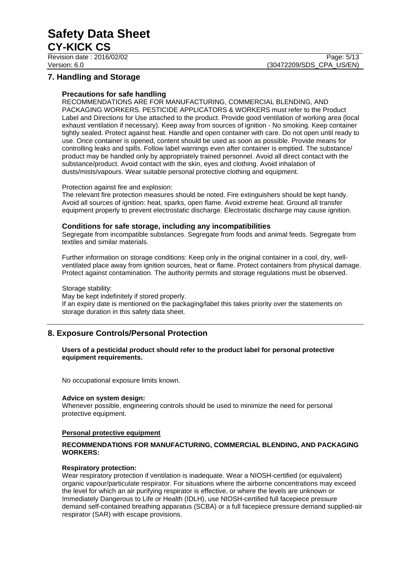Revision date : 2016/02/02 Page: 5/13

# **7. Handling and Storage**

# **Precautions for safe handling**

RECOMMENDATIONS ARE FOR MANUFACTURING, COMMERCIAL BLENDING, AND PACKAGING WORKERS. PESTICIDE APPLICATORS & WORKERS must refer to the Product Label and Directions for Use attached to the product. Provide good ventilation of working area (local exhaust ventilation if necessary). Keep away from sources of ignition - No smoking. Keep container tightly sealed. Protect against heat. Handle and open container with care. Do not open until ready to use. Once container is opened, content should be used as soon as possible. Provide means for controlling leaks and spills. Follow label warnings even after container is emptied. The substance/ product may be handled only by appropriately trained personnel. Avoid all direct contact with the substance/product. Avoid contact with the skin, eyes and clothing. Avoid inhalation of dusts/mists/vapours. Wear suitable personal protective clothing and equipment.

#### Protection against fire and explosion:

The relevant fire protection measures should be noted. Fire extinguishers should be kept handy. Avoid all sources of ignition: heat, sparks, open flame. Avoid extreme heat. Ground all transfer equipment properly to prevent electrostatic discharge. Electrostatic discharge may cause ignition.

# **Conditions for safe storage, including any incompatibilities**

Segregate from incompatible substances. Segregate from foods and animal feeds. Segregate from textiles and similar materials.

Further information on storage conditions: Keep only in the original container in a cool, dry, wellventilated place away from ignition sources, heat or flame. Protect containers from physical damage. Protect against contamination. The authority permits and storage regulations must be observed.

# Storage stability:

May be kept indefinitely if stored properly. If an expiry date is mentioned on the packaging/label this takes priority over the statements on storage duration in this safety data sheet.

# **8. Exposure Controls/Personal Protection**

# **Users of a pesticidal product should refer to the product label for personal protective equipment requirements.**

No occupational exposure limits known.

# **Advice on system design:**

Whenever possible, engineering controls should be used to minimize the need for personal protective equipment.

# **Personal protective equipment**

# **RECOMMENDATIONS FOR MANUFACTURING, COMMERCIAL BLENDING, AND PACKAGING WORKERS:**

# **Respiratory protection:**

Wear respiratory protection if ventilation is inadequate. Wear a NIOSH-certified (or equivalent) organic vapour/particulate respirator. For situations where the airborne concentrations may exceed the level for which an air purifying respirator is effective, or where the levels are unknown or Immediately Dangerous to Life or Health (IDLH), use NIOSH-certified full facepiece pressure demand self-contained breathing apparatus (SCBA) or a full facepiece pressure demand supplied-air respirator (SAR) with escape provisions.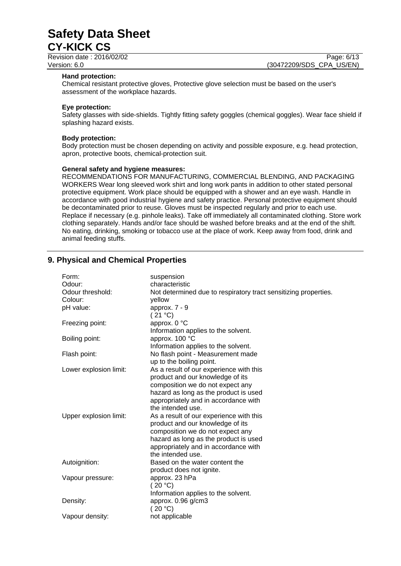Revision date : 2016/02/02

Version: 6.0 (30472209/SDS\_CPA\_US/EN)

#### **Hand protection:**

Chemical resistant protective gloves, Protective glove selection must be based on the user's assessment of the workplace hazards.

#### **Eye protection:**

Safety glasses with side-shields. Tightly fitting safety goggles (chemical goggles). Wear face shield if splashing hazard exists.

#### **Body protection:**

Body protection must be chosen depending on activity and possible exposure, e.g. head protection, apron, protective boots, chemical-protection suit.

#### **General safety and hygiene measures:**

RECOMMENDATIONS FOR MANUFACTURING, COMMERCIAL BLENDING, AND PACKAGING WORKERS Wear long sleeved work shirt and long work pants in addition to other stated personal protective equipment. Work place should be equipped with a shower and an eye wash. Handle in accordance with good industrial hygiene and safety practice. Personal protective equipment should be decontaminated prior to reuse. Gloves must be inspected regularly and prior to each use. Replace if necessary (e.g. pinhole leaks). Take off immediately all contaminated clothing. Store work clothing separately. Hands and/or face should be washed before breaks and at the end of the shift. No eating, drinking, smoking or tobacco use at the place of work. Keep away from food, drink and animal feeding stuffs.

# **9. Physical and Chemical Properties**

| Form:                  | suspension                                                      |
|------------------------|-----------------------------------------------------------------|
| Odour:                 | characteristic                                                  |
| Odour threshold:       | Not determined due to respiratory tract sensitizing properties. |
| Colour:                | yellow                                                          |
| pH value:              | approx. 7 - 9                                                   |
|                        | (21 °C)                                                         |
| Freezing point:        | approx. 0 °C                                                    |
|                        | Information applies to the solvent.                             |
| Boiling point:         | approx. 100 °C                                                  |
|                        | Information applies to the solvent.                             |
| Flash point:           | No flash point - Measurement made                               |
|                        | up to the boiling point.                                        |
| Lower explosion limit: | As a result of our experience with this                         |
|                        | product and our knowledge of its                                |
|                        | composition we do not expect any                                |
|                        | hazard as long as the product is used                           |
|                        | appropriately and in accordance with                            |
|                        | the intended use.                                               |
| Upper explosion limit: | As a result of our experience with this                         |
|                        | product and our knowledge of its                                |
|                        | composition we do not expect any                                |
|                        | hazard as long as the product is used                           |
|                        | appropriately and in accordance with                            |
|                        | the intended use.                                               |
| Autoignition:          | Based on the water content the                                  |
|                        | product does not ignite.                                        |
| Vapour pressure:       | approx. 23 hPa                                                  |
|                        | (20 °C)                                                         |
|                        | Information applies to the solvent.                             |
| Density:               | approx. 0.96 g/cm3                                              |
|                        | (20 °C)                                                         |
| Vapour density:        | not applicable                                                  |
|                        |                                                                 |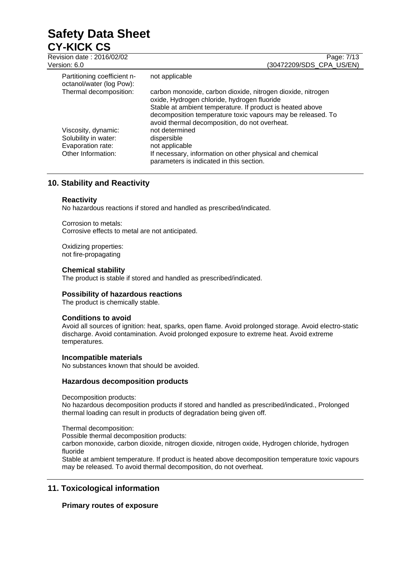# **Safety Data Sheet CY-KICK CS**<br>Revision date: 2016/

| Revision date: 2016/02/02<br>Version: 6.0               | Page: 7/13<br>(30472209/SDS CPA US/EN)                                                                                                                                                                                                                                                  |
|---------------------------------------------------------|-----------------------------------------------------------------------------------------------------------------------------------------------------------------------------------------------------------------------------------------------------------------------------------------|
| Partitioning coefficient n-<br>octanol/water (log Pow): | not applicable                                                                                                                                                                                                                                                                          |
| Thermal decomposition:                                  | carbon monoxide, carbon dioxide, nitrogen dioxide, nitrogen<br>oxide, Hydrogen chloride, hydrogen fluoride<br>Stable at ambient temperature. If product is heated above<br>decomposition temperature toxic vapours may be released. To<br>avoid thermal decomposition, do not overheat. |
| Viscosity, dynamic:                                     | not determined                                                                                                                                                                                                                                                                          |
| Solubility in water:                                    | dispersible                                                                                                                                                                                                                                                                             |
| Evaporation rate:<br>Other Information:                 | not applicable<br>If necessary, information on other physical and chemical                                                                                                                                                                                                              |
|                                                         | parameters is indicated in this section.                                                                                                                                                                                                                                                |

# **10. Stability and Reactivity**

# **Reactivity**

No hazardous reactions if stored and handled as prescribed/indicated.

Corrosion to metals: Corrosive effects to metal are not anticipated.

Oxidizing properties: not fire-propagating

# **Chemical stability**

The product is stable if stored and handled as prescribed/indicated.

# **Possibility of hazardous reactions**

The product is chemically stable.

# **Conditions to avoid**

Avoid all sources of ignition: heat, sparks, open flame. Avoid prolonged storage. Avoid electro-static discharge. Avoid contamination. Avoid prolonged exposure to extreme heat. Avoid extreme temperatures.

# **Incompatible materials**

No substances known that should be avoided.

# **Hazardous decomposition products**

Decomposition products:

No hazardous decomposition products if stored and handled as prescribed/indicated., Prolonged thermal loading can result in products of degradation being given off.

Thermal decomposition:

Possible thermal decomposition products:

carbon monoxide, carbon dioxide, nitrogen dioxide, nitrogen oxide, Hydrogen chloride, hydrogen fluoride

Stable at ambient temperature. If product is heated above decomposition temperature toxic vapours may be released. To avoid thermal decomposition, do not overheat.

# **11. Toxicological information**

# **Primary routes of exposure**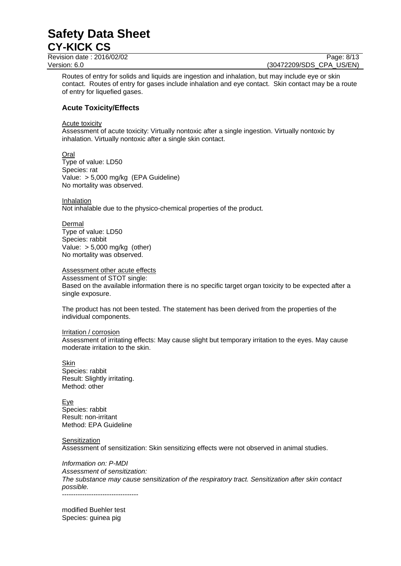Revision date : 2016/02/02 Page: 8/13 Version: 6.0 **(30472209/SDS\_CPA\_US/EN)** 

Routes of entry for solids and liquids are ingestion and inhalation, but may include eye or skin contact. Routes of entry for gases include inhalation and eye contact. Skin contact may be a route of entry for liquefied gases.

# **Acute Toxicity/Effects**

Acute toxicity

Assessment of acute toxicity: Virtually nontoxic after a single ingestion. Virtually nontoxic by inhalation. Virtually nontoxic after a single skin contact.

**Oral** Type of value: LD50 Species: rat Value: > 5,000 mg/kg (EPA Guideline) No mortality was observed.

Inhalation Not inhalable due to the physico-chemical properties of the product.

Dermal Type of value: LD50 Species: rabbit Value:  $> 5,000$  mg/kg (other) No mortality was observed.

# Assessment other acute effects

Assessment of STOT single: Based on the available information there is no specific target organ toxicity to be expected after a single exposure.

The product has not been tested. The statement has been derived from the properties of the individual components.

# Irritation / corrosion

Assessment of irritating effects: May cause slight but temporary irritation to the eyes. May cause moderate irritation to the skin.

Skin Species: rabbit Result: Slightly irritating. Method: other

Eye Species: rabbit Result: non-irritant Method: EPA Guideline

Sensitization

Assessment of sensitization: Skin sensitizing effects were not observed in animal studies.

*Information on: P-MDI Assessment of sensitization: The substance may cause sensitization of the respiratory tract. Sensitization after skin contact possible.* ----------------------------------

modified Buehler test Species: guinea pig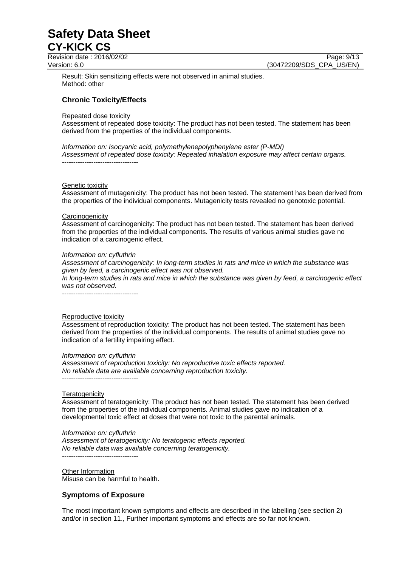Revision date : 2016/02/02 Page: 9/13

Version: 6.0 **(30472209/SDS\_CPA\_US/EN)** 

Result: Skin sensitizing effects were not observed in animal studies. Method: other

# **Chronic Toxicity/Effects**

# Repeated dose toxicity

Assessment of repeated dose toxicity: The product has not been tested. The statement has been derived from the properties of the individual components.

*Information on: Isocyanic acid, polymethylenepolyphenylene ester (P-MDI) Assessment of repeated dose toxicity: Repeated inhalation exposure may affect certain organs.* ----------------------------------

#### Genetic toxicity

Assessment of mutagenicity: The product has not been tested. The statement has been derived from the properties of the individual components. Mutagenicity tests revealed no genotoxic potential.

#### **Carcinogenicity**

Assessment of carcinogenicity: The product has not been tested. The statement has been derived from the properties of the individual components. The results of various animal studies gave no indication of a carcinogenic effect.

#### *Information on: cyfluthrin*

*Assessment of carcinogenicity: In long-term studies in rats and mice in which the substance was given by feed, a carcinogenic effect was not observed.*

*In long-term studies in rats and mice in which the substance was given by feed, a carcinogenic effect was not observed.*

----------------------------------

#### Reproductive toxicity

Assessment of reproduction toxicity: The product has not been tested. The statement has been derived from the properties of the individual components. The results of animal studies gave no indication of a fertility impairing effect.

# *Information on: cyfluthrin*

*Assessment of reproduction toxicity: No reproductive toxic effects reported. No reliable data are available concerning reproduction toxicity.* ----------------------------------

#### **Teratogenicity**

Assessment of teratogenicity: The product has not been tested. The statement has been derived from the properties of the individual components. Animal studies gave no indication of a developmental toxic effect at doses that were not toxic to the parental animals.

*Information on: cyfluthrin*

*Assessment of teratogenicity: No teratogenic effects reported. No reliable data was available concerning teratogenicity.* ----------------------------------

Other Information Misuse can be harmful to health.

# **Symptoms of Exposure**

The most important known symptoms and effects are described in the labelling (see section 2) and/or in section 11., Further important symptoms and effects are so far not known.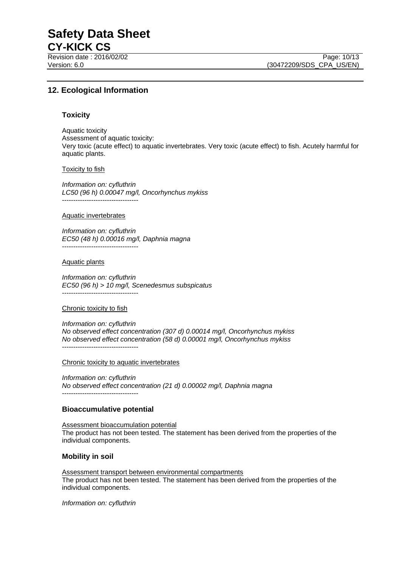Revision date : 2016/02/02

# **12. Ecological Information**

# **Toxicity**

Aquatic toxicity Assessment of aquatic toxicity: Very toxic (acute effect) to aquatic invertebrates. Very toxic (acute effect) to fish. Acutely harmful for aquatic plants.

#### Toxicity to fish

*Information on: cyfluthrin LC50 (96 h) 0.00047 mg/l, Oncorhynchus mykiss* ----------------------------------

#### Aquatic invertebrates

*Information on: cyfluthrin EC50 (48 h) 0.00016 mg/l, Daphnia magna* ----------------------------------

#### Aquatic plants

*Information on: cyfluthrin EC50 (96 h) > 10 mg/l, Scenedesmus subspicatus* ----------------------------------

# Chronic toxicity to fish

*Information on: cyfluthrin No observed effect concentration (307 d) 0.00014 mg/l, Oncorhynchus mykiss No observed effect concentration (58 d) 0.00001 mg/l, Oncorhynchus mykiss* ----------------------------------

#### Chronic toxicity to aquatic invertebrates

*Information on: cyfluthrin No observed effect concentration (21 d) 0.00002 mg/l, Daphnia magna* ----------------------------------

# **Bioaccumulative potential**

Assessment bioaccumulation potential The product has not been tested. The statement has been derived from the properties of the individual components.

# **Mobility in soil**

Assessment transport between environmental compartments The product has not been tested. The statement has been derived from the properties of the individual components.

*Information on: cyfluthrin*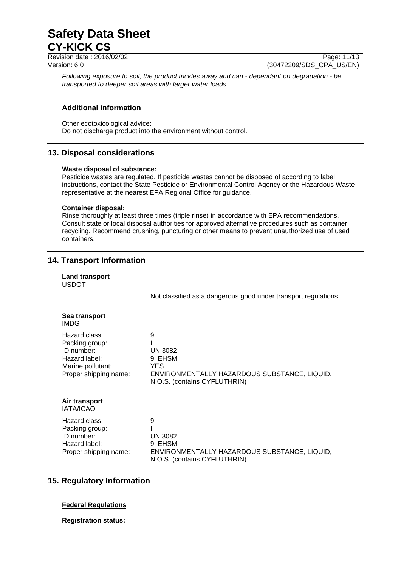Revision date : 2016/02/02 Version: 6.0 (30472209/SDS\_CPA\_US/EN)

*Following exposure to soil, the product trickles away and can - dependant on degradation - be transported to deeper soil areas with larger water loads.* ----------------------------------

# **Additional information**

Other ecotoxicological advice: Do not discharge product into the environment without control.

# **13. Disposal considerations**

#### **Waste disposal of substance:**

Pesticide wastes are regulated. If pesticide wastes cannot be disposed of according to label instructions, contact the State Pesticide or Environmental Control Agency or the Hazardous Waste representative at the nearest EPA Regional Office for guidance.

#### **Container disposal:**

Rinse thoroughly at least three times (triple rinse) in accordance with EPA recommendations. Consult state or local disposal authorities for approved alternative procedures such as container recycling. Recommend crushing, puncturing or other means to prevent unauthorized use of used containers.

# **14. Transport Information**

| Land transport<br><b>USDOT</b>                                                                               |                                                                                                                                          |
|--------------------------------------------------------------------------------------------------------------|------------------------------------------------------------------------------------------------------------------------------------------|
|                                                                                                              | Not classified as a dangerous good under transport regulations                                                                           |
| Sea transport<br>IMDG                                                                                        |                                                                                                                                          |
| Hazard class:<br>Packing group:<br>ID number:<br>Hazard label:<br>Marine pollutant:<br>Proper shipping name: | 9<br>$\mathbf{III}$<br><b>UN 3082</b><br>9, EHSM<br>YES.<br>ENVIRONMENTALLY HAZARDOUS SUBSTANCE, LIQUID,<br>N.O.S. (contains CYFLUTHRIN) |
| Air transport<br><b>IATA/ICAO</b>                                                                            |                                                                                                                                          |
| Hazard class:<br>Packing group:<br>ID number:<br>Hazard label:<br>Proper shipping name:                      | 9<br>$\mathbf{III}$<br><b>UN 3082</b><br>9, EHSM<br>ENVIRONMENTALLY HAZARDOUS SUBSTANCE, LIQUID,<br>N.O.S. (contains CYFLUTHRIN)         |

# **15. Regulatory Information**

# **Federal Regulations**

**Registration status:**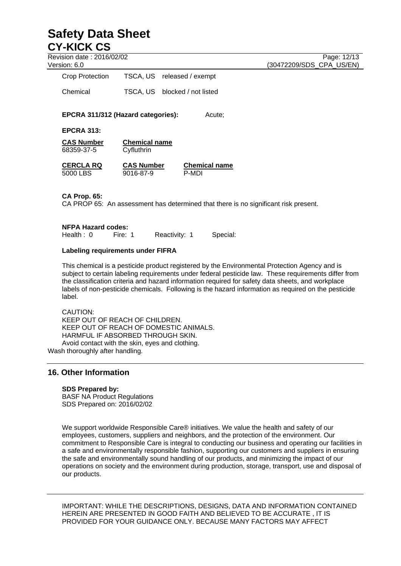Revision date : 2016/02/02 Page: 12/13

Version: 6.0 (30472209/SDS\_CPA\_US/EN)

Crop Protection TSCA, US released / exempt

Chemical TSCA, US blocked / not listed

**EPCRA 311/312 (Hazard categories):** Acute;

**EPCRA 313:**

**CAS Number Chemical name** 68359-37-5 Cyfluthrin

**CERCLA RQ CAS Number Chemical name** 5000 LBS 9016-87-9 P-MDI

**CA Prop. 65:**

CA PROP 65: An assessment has determined that there is no significant risk present.

# **NFPA Hazard codes:**

Health : 0 Fire: 1 Reactivity: 1 Special:

# **Labeling requirements under FIFRA**

This chemical is a pesticide product registered by the Environmental Protection Agency and is subject to certain labeling requirements under federal pesticide law. These requirements differ from the classification criteria and hazard information required for safety data sheets, and workplace labels of non-pesticide chemicals. Following is the hazard information as required on the pesticide label.

CAUTION: KEEP OUT OF REACH OF CHILDREN. KEEP OUT OF REACH OF DOMESTIC ANIMALS. HARMFUL IF ABSORBED THROUGH SKIN. Avoid contact with the skin, eyes and clothing. Wash thoroughly after handling.

# **16. Other Information**

# **SDS Prepared by:**

BASF NA Product Regulations SDS Prepared on: 2016/02/02

We support worldwide Responsible Care® initiatives. We value the health and safety of our employees, customers, suppliers and neighbors, and the protection of the environment. Our commitment to Responsible Care is integral to conducting our business and operating our facilities in a safe and environmentally responsible fashion, supporting our customers and suppliers in ensuring the safe and environmentally sound handling of our products, and minimizing the impact of our operations on society and the environment during production, storage, transport, use and disposal of our products.

IMPORTANT: WHILE THE DESCRIPTIONS, DESIGNS, DATA AND INFORMATION CONTAINED HEREIN ARE PRESENTED IN GOOD FAITH AND BELIEVED TO BE ACCURATE , IT IS PROVIDED FOR YOUR GUIDANCE ONLY. BECAUSE MANY FACTORS MAY AFFECT